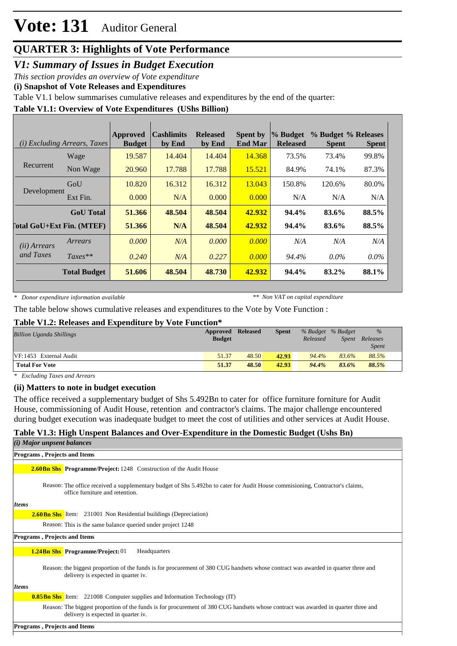### **QUARTER 3: Highlights of Vote Performance**

*V1: Summary of Issues in Budget Execution*

*This section provides an overview of Vote expenditure* 

**(i) Snapshot of Vote Releases and Expenditures**

Table V1.1 below summarises cumulative releases and expenditures by the end of the quarter:

#### **Table V1.1: Overview of Vote Expenditures (UShs Billion)**

|              | <i>(i) Excluding Arrears, Taxes</i> | Approved<br><b>Budget</b> | <b>Cashlimits</b><br>by End | <b>Released</b><br>by End | <b>Spent by</b><br><b>End Mar</b> | % Budget<br><b>Released</b> | % Budget % Releases<br><b>Spent</b> | <b>Spent</b> |
|--------------|-------------------------------------|---------------------------|-----------------------------|---------------------------|-----------------------------------|-----------------------------|-------------------------------------|--------------|
|              | Wage                                | 19.587                    | 14.404                      | 14.404                    | 14.368                            | 73.5%                       | 73.4%                               | 99.8%        |
| Recurrent    | Non Wage                            | 20.960                    | 17.788                      | 17.788                    | 15.521                            | 84.9%                       | 74.1%                               | 87.3%        |
| Development  | GoU                                 | 10.820                    | 16.312                      | 16.312                    | 13.043                            | 150.8%                      | 120.6%                              | 80.0%        |
|              | Ext Fin.                            | 0.000                     | N/A                         | 0.000                     | 0.000                             | N/A                         | N/A                                 | N/A          |
|              | <b>GoU</b> Total                    | 51.366                    | 48.504                      | 48.504                    | 42.932                            | 94.4%                       | 83.6%                               | 88.5%        |
|              | <b>Total GoU+Ext Fin. (MTEF)</b>    | 51.366                    | N/A                         | 48.504                    | 42.932                            | 94.4%                       | 83.6%                               | 88.5%        |
| (ii) Arrears | Arrears                             | 0.000                     | N/A                         | 0.000                     | 0.000                             | N/A                         | N/A                                 | N/A          |
| and Taxes    | $Taxes**$                           | 0.240                     | N/A                         | 0.227                     | 0.000                             | 94.4%                       | $0.0\%$                             | $0.0\%$      |
|              | <b>Total Budget</b>                 | 51.606                    | 48.504                      | 48.730                    | 42.932                            | 94.4%                       | 83.2%                               | 88.1%        |

*\* Donor expenditure information available*

*\*\* Non VAT on capital expenditure*

The table below shows cumulative releases and expenditures to the Vote by Vote Function :

#### **Table V1.2: Releases and Expenditure by Vote Function\***

| <b>Billion Uganda Shillings</b> | Approved<br><b>Budget</b> | <b>Released</b> | <b>Spent</b> | Released | % Budget % Budget<br>Spent | $\%$<br>Releases<br><i>Spent</i> |
|---------------------------------|---------------------------|-----------------|--------------|----------|----------------------------|----------------------------------|
| VF:1453 External Audit          | 51.37                     | 48.50           | 42.93        | 94.4%    | 83.6%                      | 88.5%                            |
| <b>Total For Vote</b>           | 51.37                     | 48.50           | 42.93        | 94.4%    | 83.6%                      | 88.5%                            |

*\* Excluding Taxes and Arrears*

#### **(ii) Matters to note in budget execution**

The office received a supplementary budget of Shs 5.492Bn to cater for office furniture forniture for Audit House, commissioning of Audit House, retention and contractor's claims. The major challenge encountered during budget execution was inadequate budget to meet the cost of utilities and other services at Audit House.

#### **Table V1.3: High Unspent Balances and Over-Expenditure in the Domestic Budget (Ushs Bn)**

| $(i)$ Major unpsent balances                                                                                                                                              |
|---------------------------------------------------------------------------------------------------------------------------------------------------------------------------|
| <b>Programs, Projects and Items</b>                                                                                                                                       |
| <b>2.60 Bn Shs</b> Programme/Project: 1248 Construction of the Audit House                                                                                                |
| Reason: The office received a supplementary budget of Shs 5.492bn to cater for Audit House commisioning, Contractor's claims,<br>office furniture and retention.          |
| <b>Items</b>                                                                                                                                                              |
| <b>2.60Bn Shs</b> Item: 231001 Non Residential buildings (Depreciation)                                                                                                   |
| Reason: This is the same balance queried under project 1248                                                                                                               |
| <b>Programs, Projects and Items</b>                                                                                                                                       |
| <b>1.24Bn Shs</b> Programme/Project: 01<br>Headquarters                                                                                                                   |
| Reason: the biggest proportion of the funds is for procurement of 380 CUG handsets whose contract was awarded in quarter three and<br>delivery is expected in quarter iv. |
| <b>Items</b>                                                                                                                                                              |
| <b>0.85Bn Shs</b> Item: 221008 Computer supplies and Information Technology (IT)                                                                                          |
| Reason: The biggest proportion of the funds is for procurement of 380 CUG handsets whose contract was awarded in quarter three and<br>delivery is expected in quarter iv. |
| <b>Programs, Projects and Items</b>                                                                                                                                       |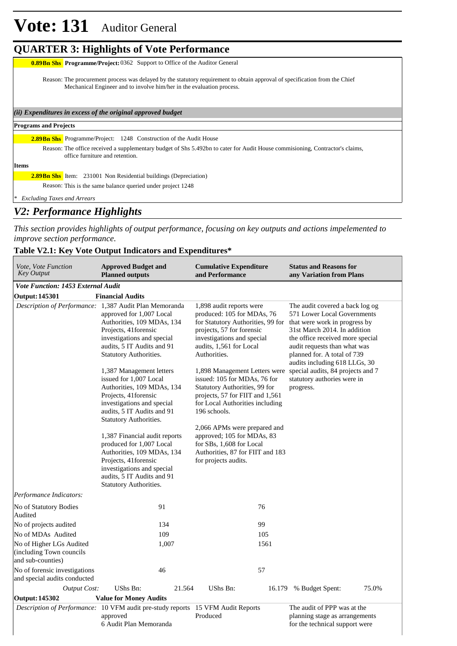## **QUARTER 3: Highlights of Vote Performance**

**0.89Bn Shs** Programme/Project: 0362 Support to Office of the Auditor General

Reason: The procurement process was delayed by the statutory requirement to obtain approval of specification from the Chief Mechanical Engineer and to involve him/her in the evaluation process.

*(ii) Expenditures in excess of the original approved budget*

#### **Programs and Projects**

2.89Bn Shs Programme/Project: 1248 Construction of the Audit House

Reason: The office received a supplementary budget of Shs 5.492bn to cater for Audit House commisioning, Contractor's claims, office furniture and retention.

**Items**

**2.89Bn Shs** Item: 231001 Non Residential buildings (Depreciation)

Reason: This is the same balance queried under project 1248

*\* Excluding Taxes and Arrears*

### *V2: Performance Highlights*

*This section provides highlights of output performance, focusing on key outputs and actions impelemented to improve section performance.*

#### **Table V2.1: Key Vote Output Indicators and Expenditures\***

| <i>Vote, Vote Function</i><br><b>Key Output</b>                           | <b>Approved Budget and</b><br><b>Planned outputs</b>                                                                                                                                                                            | <b>Cumulative Expenditure</b><br>and Performance                                                                                                                                                  | <b>Status and Reasons for</b><br>any Variation from Plans                                                                                                                                                                                                           |
|---------------------------------------------------------------------------|---------------------------------------------------------------------------------------------------------------------------------------------------------------------------------------------------------------------------------|---------------------------------------------------------------------------------------------------------------------------------------------------------------------------------------------------|---------------------------------------------------------------------------------------------------------------------------------------------------------------------------------------------------------------------------------------------------------------------|
| Vote Function: 1453 External Audit                                        |                                                                                                                                                                                                                                 |                                                                                                                                                                                                   |                                                                                                                                                                                                                                                                     |
| <b>Output: 145301</b>                                                     | <b>Financial Audits</b>                                                                                                                                                                                                         |                                                                                                                                                                                                   |                                                                                                                                                                                                                                                                     |
|                                                                           | Description of Performance: 1,387 Audit Plan Memoranda<br>approved for 1,007 Local<br>Authorities, 109 MDAs, 134<br>Projects, 41 forensic<br>investigations and special<br>audits, 5 IT Audits and 91<br>Statutory Authorities. | 1,898 audit reports were<br>produced: 105 for MDAs, 76<br>for Statutory Authorities, 99 for<br>projects, 57 for forensic<br>investigations and special<br>audits, 1,561 for Local<br>Authorities. | The audit covered a back log og<br>571 Lower Local Governments<br>that were work in progress by<br>31st March 2014. In addition<br>the office received more special<br>audit requests than what was<br>planned for. A total of 739<br>audits including 618 LLGs, 30 |
|                                                                           | 1,387 Management letters<br>issued for 1,007 Local<br>Authorities, 109 MDAs, 134<br>Projects, 41 forensic<br>investigations and special<br>audits, 5 IT Audits and 91<br>Statutory Authorities.                                 | 1,898 Management Letters were<br>issued: 105 for MDAs, 76 for<br>Statutory Authorities, 99 for<br>projects, 57 for FIIT and 1,561<br>for Local Authorities including<br>196 schools.              | special audits, 84 projects and 7<br>statutory authories were in<br>progress.                                                                                                                                                                                       |
|                                                                           | 1,387 Financial audit reports<br>produced for 1,007 Local<br>Authorities, 109 MDAs, 134<br>Projects, 41 forensic<br>investigations and special<br>audits, 5 IT Audits and 91<br>Statutory Authorities.                          | 2,066 APMs were prepared and<br>approved; 105 for MDAs, 83<br>for SBs, 1,608 for Local<br>Authorities, 87 for FIIT and 183<br>for projects audits.                                                |                                                                                                                                                                                                                                                                     |
| Performance Indicators:                                                   |                                                                                                                                                                                                                                 |                                                                                                                                                                                                   |                                                                                                                                                                                                                                                                     |
| No of Statutory Bodies<br>Audited                                         | 91                                                                                                                                                                                                                              | 76                                                                                                                                                                                                |                                                                                                                                                                                                                                                                     |
| No of projects audited                                                    | 134                                                                                                                                                                                                                             | 99                                                                                                                                                                                                |                                                                                                                                                                                                                                                                     |
| No of MDAs Audited                                                        | 109                                                                                                                                                                                                                             | 105                                                                                                                                                                                               |                                                                                                                                                                                                                                                                     |
| No of Higher LGs Audited<br>(including Town councils<br>and sub-counties) | 1,007                                                                                                                                                                                                                           | 1561                                                                                                                                                                                              |                                                                                                                                                                                                                                                                     |
| No of forensic investigations<br>and special audits conducted             | 46                                                                                                                                                                                                                              | 57                                                                                                                                                                                                |                                                                                                                                                                                                                                                                     |
| <b>Output Cost:</b>                                                       | UShs Bn:<br>21.564                                                                                                                                                                                                              | UShs Bn:                                                                                                                                                                                          | 75.0%<br>16.179 % Budget Spent:                                                                                                                                                                                                                                     |
| <b>Output: 145302</b>                                                     | <b>Value for Money Audits</b>                                                                                                                                                                                                   |                                                                                                                                                                                                   |                                                                                                                                                                                                                                                                     |
|                                                                           | <i>Description of Performance:</i> 10 VFM audit pre-study reports 15 VFM Audit Reports<br>approved<br>6 Audit Plan Memoranda                                                                                                    | Produced                                                                                                                                                                                          | The audit of PPP was at the<br>planning stage as arrangements<br>for the technical support were                                                                                                                                                                     |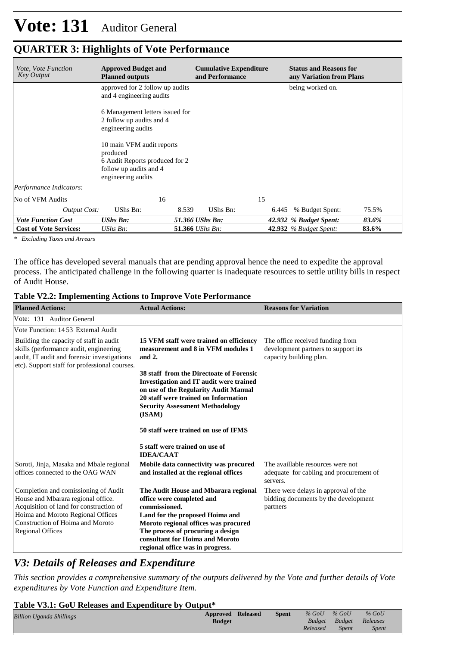| <i>Vote, Vote Function</i><br><b>Key Output</b> | <b>Approved Budget and</b><br><b>Planned outputs</b>                                                                    | <b>Cumulative Expenditure</b><br>and Performance | <b>Status and Reasons for</b><br>any Variation from Plans |
|-------------------------------------------------|-------------------------------------------------------------------------------------------------------------------------|--------------------------------------------------|-----------------------------------------------------------|
|                                                 | approved for 2 follow up audits<br>and 4 engineering audits                                                             |                                                  | being worked on.                                          |
|                                                 | 6 Management letters issued for<br>2 follow up audits and 4<br>engineering audits                                       |                                                  |                                                           |
|                                                 | 10 main VFM audit reports<br>produced<br>6 Audit Reports produced for 2<br>follow up audits and 4<br>engineering audits |                                                  |                                                           |
| Performance Indicators:                         |                                                                                                                         |                                                  |                                                           |
| No of VFM Audits                                | 16                                                                                                                      | 15                                               |                                                           |
| <b>Output Cost:</b>                             | UShs Bn:<br>8.539                                                                                                       | UShs Bn:<br>6.445                                | % Budget Spent:<br>75.5%                                  |
| <b>Vote Function Cost</b>                       | <b>UShs Bn:</b>                                                                                                         | 51.366 UShs Bn:                                  | 42.932 % Budget Spent:<br>83.6%                           |
| <b>Cost of Vote Services:</b>                   | UShs $Bn$ :                                                                                                             | 51.366 UShs Bn:                                  | <b>42.932</b> % Budget Spent:<br>83.6%                    |

### **QUARTER 3: Highlights of Vote Performance**

*\* Excluding Taxes and Arrears*

The office has developed several manuals that are pending approval hence the need to expedite the approval process. The anticipated challenge in the following quarter is inadequate resources to settle utility bills in respect of Audit House.

#### **Table V2.2: Implementing Actions to Improve Vote Performance**

| <b>Planned Actions:</b>                                                                                                                                                                                                   | <b>Actual Actions:</b>                                                                                                                                                                                                                                                    | <b>Reasons for Variation</b>                                                                       |
|---------------------------------------------------------------------------------------------------------------------------------------------------------------------------------------------------------------------------|---------------------------------------------------------------------------------------------------------------------------------------------------------------------------------------------------------------------------------------------------------------------------|----------------------------------------------------------------------------------------------------|
| Vote: 131 Auditor General                                                                                                                                                                                                 |                                                                                                                                                                                                                                                                           |                                                                                                    |
| Vote Function: 1453 External Audit                                                                                                                                                                                        |                                                                                                                                                                                                                                                                           |                                                                                                    |
| Building the capacity of staff in audit<br>skills (performance audit, engineering<br>audit, IT audit and forensic investigations<br>etc). Support staff for professional courses.                                         | 15 VFM staff were trained on efficiency<br>measurement and 8 in VFM modules 1<br>and 2.                                                                                                                                                                                   | The office received funding from<br>development partners to support its<br>capacity building plan. |
|                                                                                                                                                                                                                           | 38 staff from the Directoate of Forensic<br><b>Investigation and IT audit were trained</b><br>on use of the Regularity Audit Manual<br>20 staff were trained on Information<br><b>Security Assessment Methodology</b><br>(ISAM)                                           |                                                                                                    |
|                                                                                                                                                                                                                           | 50 staff were trained on use of IFMS                                                                                                                                                                                                                                      |                                                                                                    |
|                                                                                                                                                                                                                           | 5 staff were trained on use of<br><b>IDEA/CAAT</b>                                                                                                                                                                                                                        |                                                                                                    |
| Soroti, Jinja, Masaka and Mbale regional<br>offices connected to the OAG WAN                                                                                                                                              | Mobile data connectivity was procured<br>and installed at the regional offices                                                                                                                                                                                            | The availlable resources were not<br>adequate for cabling and procurement of<br>servers.           |
| Completion and comissioning of Audit<br>House and Mbarara regional office.<br>Acquisition of land for construction of<br>Hoima and Moroto Regional Offices<br>Construction of Hoima and Moroto<br><b>Regional Offices</b> | The Audit House and Mbarara regional<br>office were completed and<br>commissioned.<br>Land for the proposed Hoima and<br>Moroto regional offices was procured<br>The process of procuring a design<br>consultant for Hoima and Moroto<br>regional office was in progress. | There were delays in approval of the<br>bidding documents by the development<br>partners           |

### *V3: Details of Releases and Expenditure*

*This section provides a comprehensive summary of the outputs delivered by the Vote and further details of Vote expenditures by Vote Function and Expenditure Item.*

#### **Table V3.1: GoU Releases and Expenditure by Output\***

| <b>Billion Uganda Shillings</b> | Approved Released | <b>Spent</b> | $%$ GoU       | $%$ GoU      | $%$ GoU  |
|---------------------------------|-------------------|--------------|---------------|--------------|----------|
|                                 | <b>Budget</b>     |              | <b>Budget</b> | Budget       | Releases |
|                                 |                   |              | Released      | <i>Spent</i> | Spent    |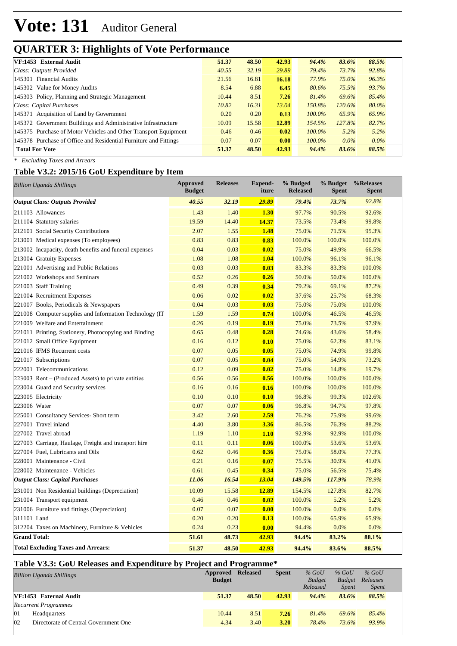## **QUARTER 3: Highlights of Vote Performance**

| VF:1453 External Audit                                           | 51.37 | 48.50 | 42.93 | 94.4%     | 83.6%     | 88.5%   |
|------------------------------------------------------------------|-------|-------|-------|-----------|-----------|---------|
| Class: Outputs Provided                                          | 40.55 | 32.19 | 29.89 | 79.4%     | 73.7%     | 92.8%   |
| 145301 Financial Audits                                          | 21.56 | 16.81 | 16.18 | 77.9%     | 75.0%     | 96.3%   |
| 145302 Value for Money Audits                                    | 8.54  | 6.88  | 6.45  | 80.6%     | 75.5%     | 93.7%   |
| 145303 Policy, Planning and Strategic Management                 | 10.44 | 8.51  | 7.26  | 81.4%     | 69.6%     | 85.4%   |
| Class: Capital Purchases                                         | 10.82 | 16.31 | 13.04 | 150.8%    | $120.6\%$ | 80.0%   |
| 145371 Acquisition of Land by Government                         | 0.20  | 0.20  | 0.13  | $100.0\%$ | 65.9%     | 65.9%   |
| 145372 Government Buildings and Administrative Infrastructure    | 10.09 | 15.58 | 12.89 | 154.5%    | 127.8%    | 82.7%   |
| 145375 Purchase of Motor Vehicles and Other Transport Equipment  | 0.46  | 0.46  | 0.02  | $100.0\%$ | $5.2\%$   | 5.2%    |
| 145378 Purchase of Office and Residential Furniture and Fittings | 0.07  | 0.07  | 0.00  | $100.0\%$ | $0.0\%$   | $0.0\%$ |
| <b>Total For Vote</b>                                            | 51.37 | 48.50 | 42.93 | 94.4%     | 83.6%     | 88.5%   |
|                                                                  |       |       |       |           |           |         |

*\* Excluding Taxes and Arrears*

#### **Table V3.2: 2015/16 GoU Expenditure by Item**

| <b>Billion Uganda Shillings</b>                         | Approved<br><b>Budget</b> | <b>Releases</b> | <b>Expend-</b><br>iture | % Budged<br><b>Released</b> | % Budget<br><b>Spent</b> | %Releases<br><b>Spent</b> |
|---------------------------------------------------------|---------------------------|-----------------|-------------------------|-----------------------------|--------------------------|---------------------------|
| <b>Output Class: Outputs Provided</b>                   | 40.55                     | 32.19           | 29.89                   | 79.4%                       | 73.7%                    | 92.8%                     |
| 211103 Allowances                                       | 1.43                      | 1.40            | 1.30                    | 97.7%                       | 90.5%                    | 92.6%                     |
| 211104 Statutory salaries                               | 19.59                     | 14.40           | 14.37                   | 73.5%                       | 73.4%                    | 99.8%                     |
| 212101 Social Security Contributions                    | 2.07                      | 1.55            | 1.48                    | 75.0%                       | 71.5%                    | 95.3%                     |
| 213001 Medical expenses (To employees)                  | 0.83                      | 0.83            | 0.83                    | 100.0%                      | 100.0%                   | 100.0%                    |
| 213002 Incapacity, death benefits and funeral expenses  | 0.04                      | 0.03            | 0.02                    | 75.0%                       | 49.9%                    | 66.5%                     |
| 213004 Gratuity Expenses                                | 1.08                      | 1.08            | 1.04                    | 100.0%                      | 96.1%                    | 96.1%                     |
| 221001 Advertising and Public Relations                 | 0.03                      | 0.03            | 0.03                    | 83.3%                       | 83.3%                    | 100.0%                    |
| 221002 Workshops and Seminars                           | 0.52                      | 0.26            | 0.26                    | 50.0%                       | 50.0%                    | 100.0%                    |
| 221003 Staff Training                                   | 0.49                      | 0.39            | 0.34                    | 79.2%                       | 69.1%                    | 87.2%                     |
| 221004 Recruitment Expenses                             | 0.06                      | 0.02            | 0.02                    | 37.6%                       | 25.7%                    | 68.3%                     |
| 221007 Books, Periodicals & Newspapers                  | 0.04                      | 0.03            | 0.03                    | 75.0%                       | 75.0%                    | 100.0%                    |
| 221008 Computer supplies and Information Technology (IT | 1.59                      | 1.59            | 0.74                    | 100.0%                      | 46.5%                    | 46.5%                     |
| 221009 Welfare and Entertainment                        | 0.26                      | 0.19            | 0.19                    | 75.0%                       | 73.5%                    | 97.9%                     |
| 221011 Printing, Stationery, Photocopying and Binding   | 0.65                      | 0.48            | 0.28                    | 74.6%                       | 43.6%                    | 58.4%                     |
| 221012 Small Office Equipment                           | 0.16                      | 0.12            | 0.10                    | 75.0%                       | 62.3%                    | 83.1%                     |
| 221016 IFMS Recurrent costs                             | 0.07                      | 0.05            | 0.05                    | 75.0%                       | 74.9%                    | 99.8%                     |
| 221017 Subscriptions                                    | 0.07                      | 0.05            | 0.04                    | 75.0%                       | 54.9%                    | 73.2%                     |
| 222001 Telecommunications                               | 0.12                      | 0.09            | 0.02                    | 75.0%                       | 14.8%                    | 19.7%                     |
| 223003 Rent – (Produced Assets) to private entities     | 0.56                      | 0.56            | 0.56                    | 100.0%                      | 100.0%                   | 100.0%                    |
| 223004 Guard and Security services                      | 0.16                      | 0.16            | 0.16                    | 100.0%                      | 100.0%                   | 100.0%                    |
| 223005 Electricity                                      | 0.10                      | 0.10            | 0.10                    | 96.8%                       | 99.3%                    | 102.6%                    |
| 223006 Water                                            | 0.07                      | 0.07            | 0.06                    | 96.8%                       | 94.7%                    | 97.8%                     |
| 225001 Consultancy Services- Short term                 | 3.42                      | 2.60            | 2.59                    | 76.2%                       | 75.9%                    | 99.6%                     |
| 227001 Travel inland                                    | 4.40                      | 3.80            | 3.36                    | 86.5%                       | 76.3%                    | 88.2%                     |
| 227002 Travel abroad                                    | 1.19                      | 1.10            | 1.10                    | 92.9%                       | 92.9%                    | 100.0%                    |
| 227003 Carriage, Haulage, Freight and transport hire    | 0.11                      | 0.11            | 0.06                    | 100.0%                      | 53.6%                    | 53.6%                     |
| 227004 Fuel, Lubricants and Oils                        | 0.62                      | 0.46            | 0.36                    | 75.0%                       | 58.0%                    | 77.3%                     |
| 228001 Maintenance - Civil                              | 0.21                      | 0.16            | 0.07                    | 75.5%                       | 30.9%                    | 41.0%                     |
| 228002 Maintenance - Vehicles                           | 0.61                      | 0.45            | 0.34                    | 75.0%                       | 56.5%                    | 75.4%                     |
| <b>Output Class: Capital Purchases</b>                  | 11.06                     | 16.54           | 13.04                   | 149.5%                      | 117.9%                   | 78.9%                     |
| 231001 Non Residential buildings (Depreciation)         | 10.09                     | 15.58           | 12.89                   | 154.5%                      | 127.8%                   | 82.7%                     |
| 231004 Transport equipment                              | 0.46                      | 0.46            | 0.02                    | 100.0%                      | 5.2%                     | 5.2%                      |
| 231006 Furniture and fittings (Depreciation)            | 0.07                      | 0.07            | 0.00                    | 100.0%                      | 0.0%                     | 0.0%                      |
| 311101 Land                                             | 0.20                      | 0.20            | 0.13                    | 100.0%                      | 65.9%                    | 65.9%                     |
| 312204 Taxes on Machinery, Furniture & Vehicles         | 0.24                      | 0.23            | 0.00                    | 94.4%                       | 0.0%                     | 0.0%                      |
| <b>Grand Total:</b>                                     | 51.61                     | 48.73           | 42.93                   | 94.4%                       | 83.2%                    | 88.1%                     |
| <b>Total Excluding Taxes and Arrears:</b>               | 51.37                     | 48.50           | 42.93                   | 94.4%                       | 83.6%                    | 88.5%                     |

#### **Table V3.3: GoU Releases and Expenditure by Project and Programme\***

| <b>Billion Uganda Shillings</b>             | Approved<br><b>Budget</b> | <b>Released</b> | <b>Spent</b> | $%$ GoU<br><b>Budget</b><br>Released | $%$ GoU<br><b>Budget</b><br><i>Spent</i> | $%$ GoU<br>Releases<br><i>Spent</i> |
|---------------------------------------------|---------------------------|-----------------|--------------|--------------------------------------|------------------------------------------|-------------------------------------|
| VF:1453 External Audit                      | 51.37                     | 48.50           | 42.93        | 94.4%                                | 83.6%                                    | 88.5%                               |
| <b>Recurrent Programmes</b>                 |                           |                 |              |                                      |                                          |                                     |
| 01<br>Headquarters                          | 10.44                     | 8.51            | 7.26         | 81.4%                                | 69.6%                                    | 85.4%                               |
| 02<br>Directorate of Central Government One | 4.34                      | 3.40            | 3.20         | 78.4%                                | 73.6%                                    | 93.9%                               |